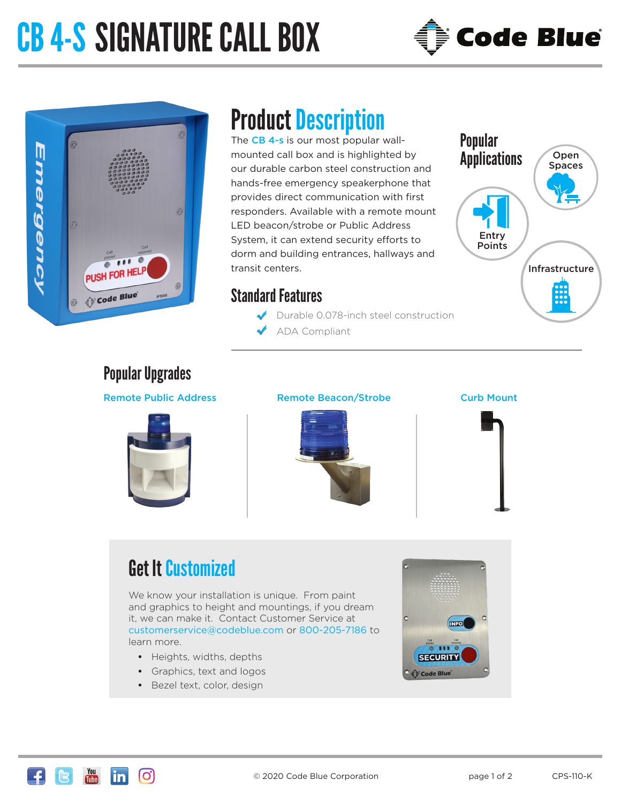# CB 4-S SIGNATURE CALL BOX



## $\odot$ Emergency  $\odot$ PUSH FOR HELP Code Blue

### Product Description

The CB 4-s is our most popular wallmounted call box and is highlighted by our durable carbon steel construction and hands-free emergency speakerphone that provides direct communication with first responders. Available with a remote mount LED beacon/strobe or Public Address System, it can extend security efforts to dorm and building entrances, hallways and transit centers.

### Standard Features

- Durable 0.078-inch steel construction
- ADA Compliant



### Popular Upgrades

#### Remote Public Address Remote Beacon/Strobe





#### Curb Mount



### Get It Customized

We know your installation is unique. From paint and graphics to height and mountings, if you dream it, we can make it. Contact Customer Service at customerservice@codeblue.com or 800-205-7186 to learn more.

- **•** Heights, widths, depths
- **•** Graphics, text and logos
- **•** Bezel text, color, design